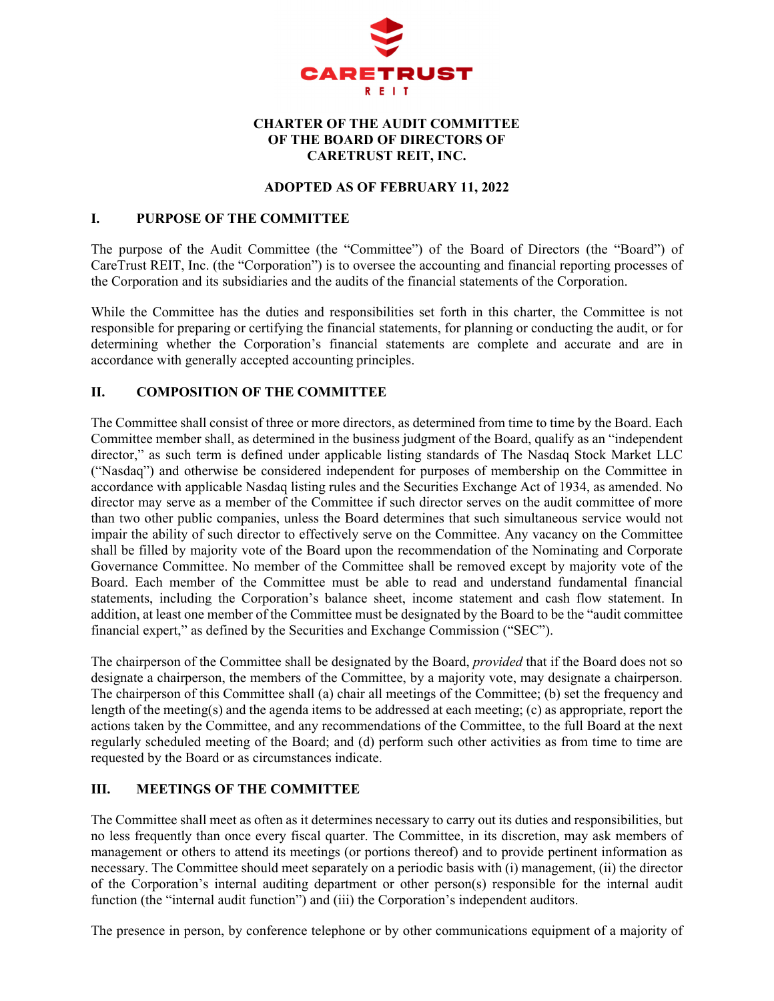

# **CHARTER OF THE AUDIT COMMITTEE OF THE BOARD OF DIRECTORS OF CARETRUST REIT, INC.**

### **ADOPTED AS OF FEBRUARY 11, 2022**

### **I. PURPOSE OF THE COMMITTEE**

The purpose of the Audit Committee (the "Committee") of the Board of Directors (the "Board") of CareTrust REIT, Inc. (the "Corporation") is to oversee the accounting and financial reporting processes of the Corporation and its subsidiaries and the audits of the financial statements of the Corporation.

While the Committee has the duties and responsibilities set forth in this charter, the Committee is not responsible for preparing or certifying the financial statements, for planning or conducting the audit, or for determining whether the Corporation's financial statements are complete and accurate and are in accordance with generally accepted accounting principles.

# **II. COMPOSITION OF THE COMMITTEE**

The Committee shall consist of three or more directors, as determined from time to time by the Board. Each Committee member shall, as determined in the business judgment of the Board, qualify as an "independent director," as such term is defined under applicable listing standards of The Nasdaq Stock Market LLC ("Nasdaq") and otherwise be considered independent for purposes of membership on the Committee in accordance with applicable Nasdaq listing rules and the Securities Exchange Act of 1934, as amended. No director may serve as a member of the Committee if such director serves on the audit committee of more than two other public companies, unless the Board determines that such simultaneous service would not impair the ability of such director to effectively serve on the Committee. Any vacancy on the Committee shall be filled by majority vote of the Board upon the recommendation of the Nominating and Corporate Governance Committee. No member of the Committee shall be removed except by majority vote of the Board. Each member of the Committee must be able to read and understand fundamental financial statements, including the Corporation's balance sheet, income statement and cash flow statement. In addition, at least one member of the Committee must be designated by the Board to be the "audit committee financial expert," as defined by the Securities and Exchange Commission ("SEC").

The chairperson of the Committee shall be designated by the Board, *provided* that if the Board does not so designate a chairperson, the members of the Committee, by a majority vote, may designate a chairperson. The chairperson of this Committee shall (a) chair all meetings of the Committee; (b) set the frequency and length of the meeting(s) and the agenda items to be addressed at each meeting; (c) as appropriate, report the actions taken by the Committee, and any recommendations of the Committee, to the full Board at the next regularly scheduled meeting of the Board; and (d) perform such other activities as from time to time are requested by the Board or as circumstances indicate.

# **III. MEETINGS OF THE COMMITTEE**

The Committee shall meet as often as it determines necessary to carry out its duties and responsibilities, but no less frequently than once every fiscal quarter. The Committee, in its discretion, may ask members of management or others to attend its meetings (or portions thereof) and to provide pertinent information as necessary. The Committee should meet separately on a periodic basis with (i) management, (ii) the director of the Corporation's internal auditing department or other person(s) responsible for the internal audit function (the "internal audit function") and (iii) the Corporation's independent auditors.

The presence in person, by conference telephone or by other communications equipment of a majority of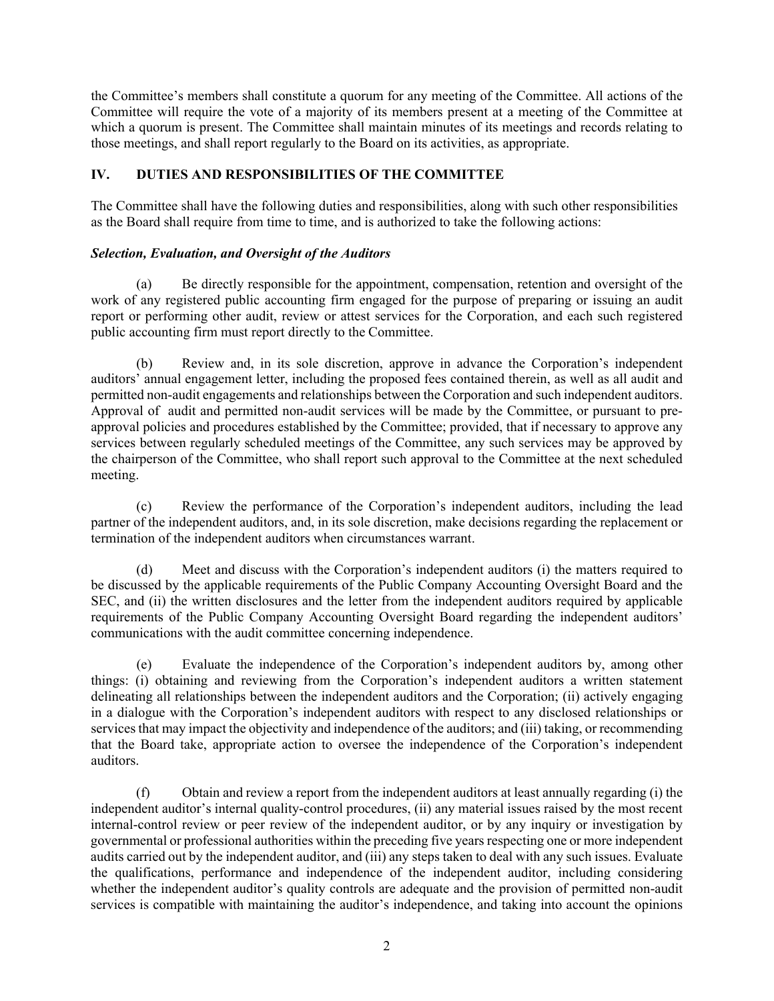the Committee's members shall constitute a quorum for any meeting of the Committee. All actions of the Committee will require the vote of a majority of its members present at a meeting of the Committee at which a quorum is present. The Committee shall maintain minutes of its meetings and records relating to those meetings, and shall report regularly to the Board on its activities, as appropriate.

# **IV. DUTIES AND RESPONSIBILITIES OF THE COMMITTEE**

The Committee shall have the following duties and responsibilities, along with such other responsibilities as the Board shall require from time to time, and is authorized to take the following actions:

## *Selection, Evaluation, and Oversight of the Auditors*

(a) Be directly responsible for the appointment, compensation, retention and oversight of the work of any registered public accounting firm engaged for the purpose of preparing or issuing an audit report or performing other audit, review or attest services for the Corporation, and each such registered public accounting firm must report directly to the Committee.

(b) Review and, in its sole discretion, approve in advance the Corporation's independent auditors' annual engagement letter, including the proposed fees contained therein, as well as all audit and permitted non-audit engagements and relationships between the Corporation and such independent auditors. Approval of audit and permitted non-audit services will be made by the Committee, or pursuant to preapproval policies and procedures established by the Committee; provided, that if necessary to approve any services between regularly scheduled meetings of the Committee, any such services may be approved by the chairperson of the Committee, who shall report such approval to the Committee at the next scheduled meeting.

(c) Review the performance of the Corporation's independent auditors, including the lead partner of the independent auditors, and, in its sole discretion, make decisions regarding the replacement or termination of the independent auditors when circumstances warrant.

(d) Meet and discuss with the Corporation's independent auditors (i) the matters required to be discussed by the applicable requirements of the Public Company Accounting Oversight Board and the SEC, and (ii) the written disclosures and the letter from the independent auditors required by applicable requirements of the Public Company Accounting Oversight Board regarding the independent auditors' communications with the audit committee concerning independence.

(e) Evaluate the independence of the Corporation's independent auditors by, among other things: (i) obtaining and reviewing from the Corporation's independent auditors a written statement delineating all relationships between the independent auditors and the Corporation; (ii) actively engaging in a dialogue with the Corporation's independent auditors with respect to any disclosed relationships or services that may impact the objectivity and independence of the auditors; and (iii) taking, or recommending that the Board take, appropriate action to oversee the independence of the Corporation's independent auditors.

(f) Obtain and review a report from the independent auditors at least annually regarding (i) the independent auditor's internal quality-control procedures, (ii) any material issues raised by the most recent internal-control review or peer review of the independent auditor, or by any inquiry or investigation by governmental or professional authorities within the preceding five years respecting one or more independent audits carried out by the independent auditor, and (iii) any steps taken to deal with any such issues. Evaluate the qualifications, performance and independence of the independent auditor, including considering whether the independent auditor's quality controls are adequate and the provision of permitted non-audit services is compatible with maintaining the auditor's independence, and taking into account the opinions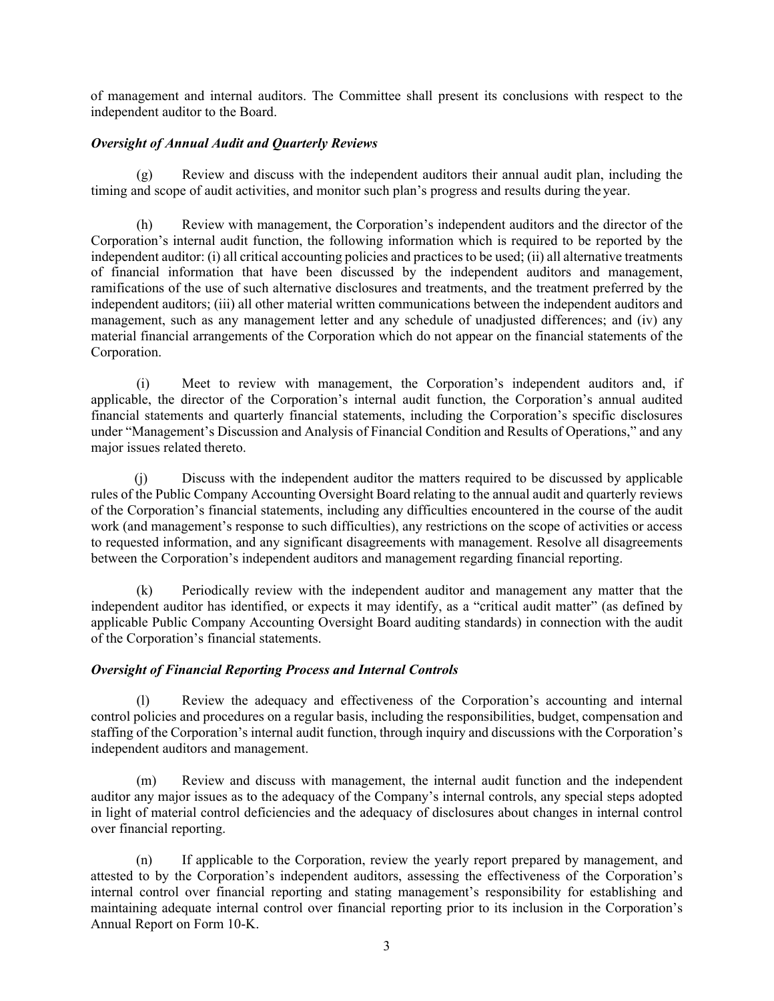of management and internal auditors. The Committee shall present its conclusions with respect to the independent auditor to the Board.

### *Oversight of Annual Audit and Quarterly Reviews*

(g) Review and discuss with the independent auditors their annual audit plan, including the timing and scope of audit activities, and monitor such plan's progress and results during the year.

(h) Review with management, the Corporation's independent auditors and the director of the Corporation's internal audit function, the following information which is required to be reported by the independent auditor: (i) all critical accounting policies and practices to be used; (ii) all alternative treatments of financial information that have been discussed by the independent auditors and management, ramifications of the use of such alternative disclosures and treatments, and the treatment preferred by the independent auditors; (iii) all other material written communications between the independent auditors and management, such as any management letter and any schedule of unadjusted differences; and (iv) any material financial arrangements of the Corporation which do not appear on the financial statements of the Corporation.

(i) Meet to review with management, the Corporation's independent auditors and, if applicable, the director of the Corporation's internal audit function, the Corporation's annual audited financial statements and quarterly financial statements, including the Corporation's specific disclosures under "Management's Discussion and Analysis of Financial Condition and Results of Operations," and any major issues related thereto.

(j) Discuss with the independent auditor the matters required to be discussed by applicable rules of the Public Company Accounting Oversight Board relating to the annual audit and quarterly reviews of the Corporation's financial statements, including any difficulties encountered in the course of the audit work (and management's response to such difficulties), any restrictions on the scope of activities or access to requested information, and any significant disagreements with management. Resolve all disagreements between the Corporation's independent auditors and management regarding financial reporting.

(k) Periodically review with the independent auditor and management any matter that the independent auditor has identified, or expects it may identify, as a "critical audit matter" (as defined by applicable Public Company Accounting Oversight Board auditing standards) in connection with the audit of the Corporation's financial statements.

#### *Oversight of Financial Reporting Process and Internal Controls*

(l) Review the adequacy and effectiveness of the Corporation's accounting and internal control policies and procedures on a regular basis, including the responsibilities, budget, compensation and staffing of the Corporation's internal audit function, through inquiry and discussions with the Corporation's independent auditors and management.

(m) Review and discuss with management, the internal audit function and the independent auditor any major issues as to the adequacy of the Company's internal controls, any special steps adopted in light of material control deficiencies and the adequacy of disclosures about changes in internal control over financial reporting.

(n) If applicable to the Corporation, review the yearly report prepared by management, and attested to by the Corporation's independent auditors, assessing the effectiveness of the Corporation's internal control over financial reporting and stating management's responsibility for establishing and maintaining adequate internal control over financial reporting prior to its inclusion in the Corporation's Annual Report on Form 10-K.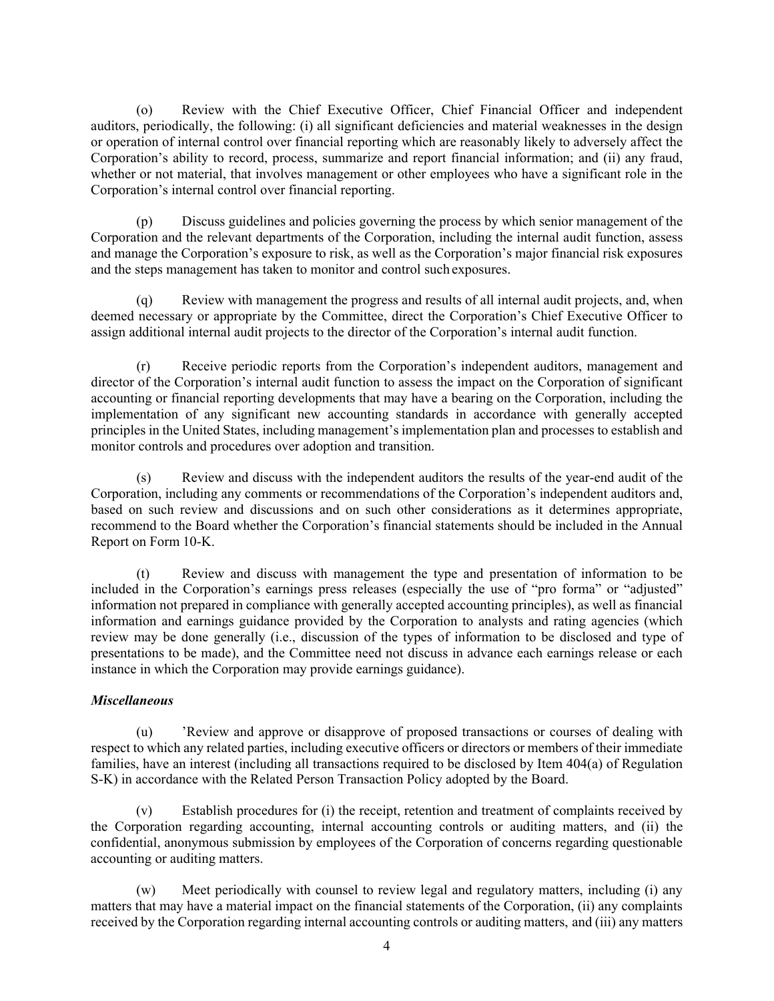(o) Review with the Chief Executive Officer, Chief Financial Officer and independent auditors, periodically, the following: (i) all significant deficiencies and material weaknesses in the design or operation of internal control over financial reporting which are reasonably likely to adversely affect the Corporation's ability to record, process, summarize and report financial information; and (ii) any fraud, whether or not material, that involves management or other employees who have a significant role in the Corporation's internal control over financial reporting.

(p) Discuss guidelines and policies governing the process by which senior management of the Corporation and the relevant departments of the Corporation, including the internal audit function, assess and manage the Corporation's exposure to risk, as well as the Corporation's major financial risk exposures and the steps management has taken to monitor and control such exposures.

(q) Review with management the progress and results of all internal audit projects, and, when deemed necessary or appropriate by the Committee, direct the Corporation's Chief Executive Officer to assign additional internal audit projects to the director of the Corporation's internal audit function.

(r) Receive periodic reports from the Corporation's independent auditors, management and director of the Corporation's internal audit function to assess the impact on the Corporation of significant accounting or financial reporting developments that may have a bearing on the Corporation, including the implementation of any significant new accounting standards in accordance with generally accepted principles in the United States, including management's implementation plan and processes to establish and monitor controls and procedures over adoption and transition.

(s) Review and discuss with the independent auditors the results of the year-end audit of the Corporation, including any comments or recommendations of the Corporation's independent auditors and, based on such review and discussions and on such other considerations as it determines appropriate, recommend to the Board whether the Corporation's financial statements should be included in the Annual Report on Form 10-K.

(t) Review and discuss with management the type and presentation of information to be included in the Corporation's earnings press releases (especially the use of "pro forma" or "adjusted" information not prepared in compliance with generally accepted accounting principles), as well as financial information and earnings guidance provided by the Corporation to analysts and rating agencies (which review may be done generally (i.e., discussion of the types of information to be disclosed and type of presentations to be made), and the Committee need not discuss in advance each earnings release or each instance in which the Corporation may provide earnings guidance).

# *Miscellaneous*

(u) 'Review and approve or disapprove of proposed transactions or courses of dealing with respect to which any related parties, including executive officers or directors or members of their immediate families, have an interest (including all transactions required to be disclosed by Item 404(a) of Regulation S-K) in accordance with the Related Person Transaction Policy adopted by the Board.

(v) Establish procedures for (i) the receipt, retention and treatment of complaints received by the Corporation regarding accounting, internal accounting controls or auditing matters, and (ii) the confidential, anonymous submission by employees of the Corporation of concerns regarding questionable accounting or auditing matters.

(w) Meet periodically with counsel to review legal and regulatory matters, including (i) any matters that may have a material impact on the financial statements of the Corporation, (ii) any complaints received by the Corporation regarding internal accounting controls or auditing matters, and (iii) any matters